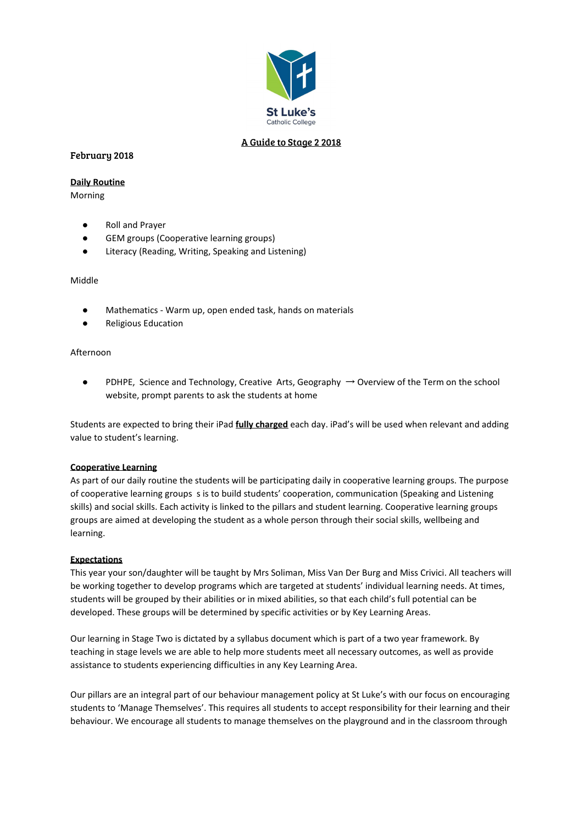

# A Guide to Stage 2 2018

# February 2018

# **Daily Routine**

Morning

- **Roll and Prayer**
- GEM groups (Cooperative learning groups)
- Literacy (Reading, Writing, Speaking and Listening)

# Middle

- Mathematics Warm up, open ended task, hands on materials
- **Religious Education**

# Afternoon

PDHPE, Science and Technology, Creative Arts, Geography  $\rightarrow$  Overview of the Term on the school website, prompt parents to ask the students at home

Students are expected to bring their iPad **fully charged** each day. iPad's will be used when relevant and adding value to student's learning.

# **Cooperative Learning**

As part of our daily routine the students will be participating daily in cooperative learning groups. The purpose of cooperative learning groups s is to build students' cooperation, communication (Speaking and Listening skills) and social skills. Each activity is linked to the pillars and student learning. Cooperative learning groups groups are aimed at developing the student as a whole person through their social skills, wellbeing and learning.

# **Expectations**

This year your son/daughter will be taught by Mrs Soliman, Miss Van Der Burg and Miss Crivici. All teachers will be working together to develop programs which are targeted at students' individual learning needs. At times, students will be grouped by their abilities or in mixed abilities, so that each child's full potential can be developed. These groups will be determined by specific activities or by Key Learning Areas.

Our learning in Stage Two is dictated by a syllabus document which is part of a two year framework. By teaching in stage levels we are able to help more students meet all necessary outcomes, as well as provide assistance to students experiencing difficulties in any Key Learning Area.

Our pillars are an integral part of our behaviour management policy at St Luke's with our focus on encouraging students to 'Manage Themselves'. This requires all students to accept responsibility for their learning and their behaviour. We encourage all students to manage themselves on the playground and in the classroom through